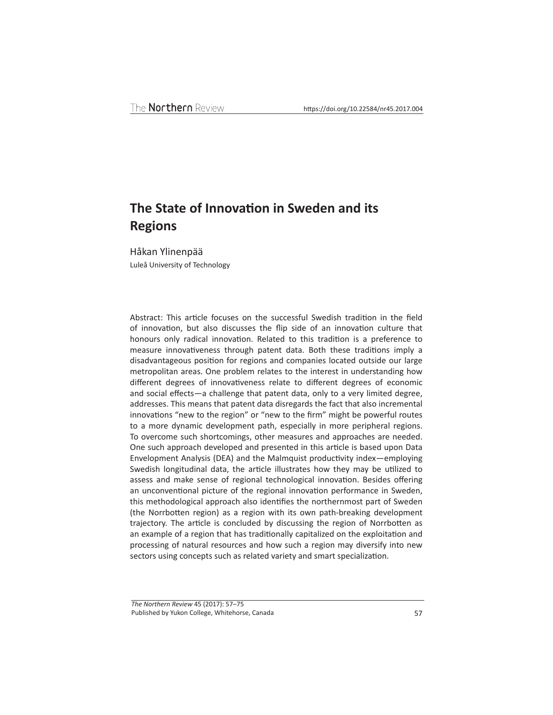# **The State of Innovation in Sweden and its Regions**

Håkan Ylinenpää

Luleå University of Technology

Abstract: This article focuses on the successful Swedish tradition in the field of innovation, but also discusses the flip side of an innovation culture that honours only radical innovation. Related to this tradition is a preference to measure innovativeness through patent data. Both these traditions imply a disadvantageous position for regions and companies located outside our large metropolitan areas. One problem relates to the interest in understanding how different degrees of innovativeness relate to different degrees of economic and social effects—a challenge that patent data, only to a very limited degree, addresses. This means that patent data disregards the fact that also incremental innovations "new to the region" or "new to the firm" might be powerful routes to a more dynamic development path, especially in more peripheral regions. To overcome such shortcomings, other measures and approaches are needed. One such approach developed and presented in this article is based upon Data Envelopment Analysis (DEA) and the Malmquist productivity index—employing Swedish longitudinal data, the article illustrates how they may be utilized to assess and make sense of regional technological innovation. Besides offering an unconventional picture of the regional innovation performance in Sweden, this methodological approach also identifies the northernmost part of Sweden (the Norrbotten region) as a region with its own path-breaking development trajectory. The article is concluded by discussing the region of Norrbotten as an example of a region that has traditionally capitalized on the exploitation and processing of natural resources and how such a region may diversify into new sectors using concepts such as related variety and smart specialization.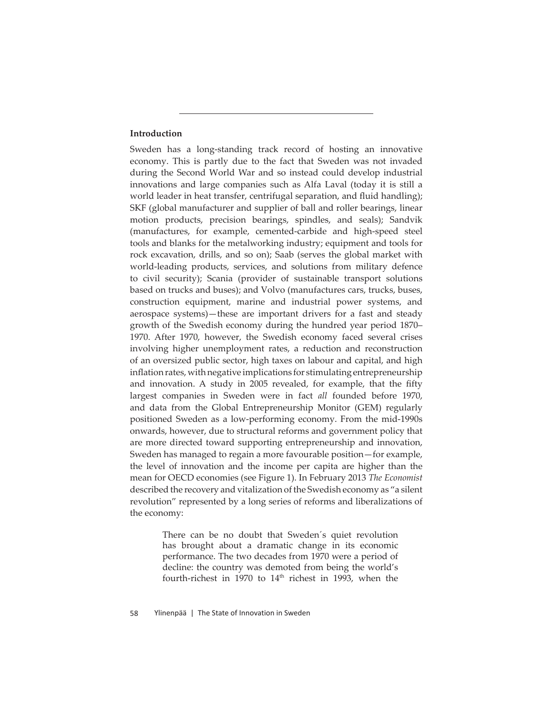## **Introduction**

Sweden has a long-standing track record of hosting an innovative economy. This is partly due to the fact that Sweden was not invaded during the Second World War and so instead could develop industrial innovations and large companies such as Alfa Laval (today it is still a world leader in heat transfer, centrifugal separation, and fluid handling); SKF (global manufacturer and supplier of ball and roller bearings, linear motion products, precision bearings, spindles, and seals); Sandvik (manufactures, for example, cemented-carbide and high-speed steel tools and blanks for the metalworking industry; equipment and tools for rock excavation, drills, and so on); Saab (serves the global market with world-leading products, services, and solutions from military defence to civil security); Scania (provider of sustainable transport solutions based on trucks and buses); and Volvo (manufactures cars, trucks, buses, construction equipment, marine and industrial power systems, and aerospace systems)—these are important drivers for a fast and steady growth of the Swedish economy during the hundred year period 1870– 1970. After 1970, however, the Swedish economy faced several crises involving higher unemployment rates, a reduction and reconstruction of an oversized public sector, high taxes on labour and capital, and high inflation rates, with negative implications for stimulating entrepreneurship and innovation. A study in 2005 revealed, for example, that the fifty largest companies in Sweden were in fact *all* founded before 1970, and data from the Global Entrepreneurship Monitor (GEM) regularly positioned Sweden as a low-performing economy. From the mid-1990s onwards, however, due to structural reforms and government policy that are more directed toward supporting entrepreneurship and innovation, Sweden has managed to regain a more favourable position—for example, the level of innovation and the income per capita are higher than the mean for OECD economies (see Figure 1). In February 2013 *The Economist* described the recovery and vitalization of the Swedish economy as "a silent revolution" represented by a long series of reforms and liberalizations of the economy:

> There can be no doubt that Sweden´s quiet revolution has brought about a dramatic change in its economic performance. The two decades from 1970 were a period of decline: the country was demoted from being the world's fourth-richest in 1970 to  $14<sup>th</sup>$  richest in 1993, when the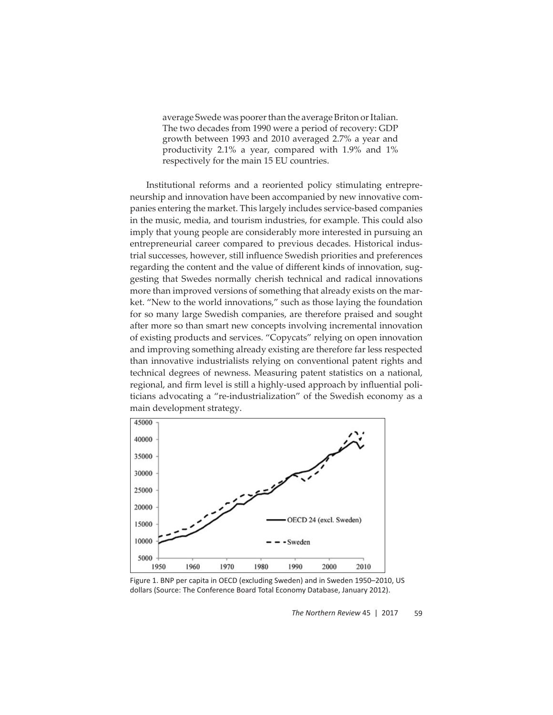average Swede was poorer than the average Briton or Italian. The two decades from 1990 were a period of recovery: GDP growth between 1993 and 2010 averaged 2.7% a year and productivity 2.1% a year, compared with 1.9% and 1% respectively for the main 15 EU countries.

Institutional reforms and a reoriented policy stimulating entrepreneurship and innovation have been accompanied by new innovative companies entering the market. This largely includes service-based companies in the music, media, and tourism industries, for example. This could also imply that young people are considerably more interested in pursuing an entrepreneurial career compared to previous decades. Historical industrial successes, however, still influence Swedish priorities and preferences regarding the content and the value of different kinds of innovation, suggesting that Swedes normally cherish technical and radical innovations more than improved versions of something that already exists on the market. "New to the world innovations," such as those laying the foundation for so many large Swedish companies, are therefore praised and sought after more so than smart new concepts involving incremental innovation of existing products and services. "Copycats" relying on open innovation and improving something already existing are therefore far less respected than innovative industrialists relying on conventional patent rights and technical degrees of newness. Measuring patent statistics on a national, regional, and firm level is still a highly-used approach by influential politicians advocating a "re-industrialization" of the Swedish economy as a main development strategy.



Figure 1. BNP per capita in OECD (excluding Sweden) and in Sweden 1950–2010, US dollars (Source: The Conference Board Total Economy Database, January 2012).

*The Northern Review* 45 | 2017 59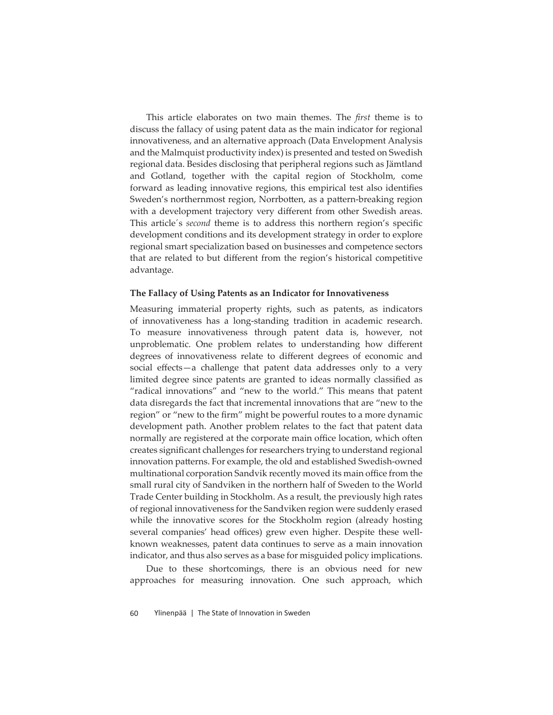This article elaborates on two main themes. The *first* theme is to discuss the fallacy of using patent data as the main indicator for regional innovativeness, and an alternative approach (Data Envelopment Analysis and the Malmquist productivity index) is presented and tested on Swedish regional data. Besides disclosing that peripheral regions such as Jämtland and Gotland, together with the capital region of Stockholm, come forward as leading innovative regions, this empirical test also identifies Sweden's northernmost region, Norrbotten, as a pattern-breaking region with a development trajectory very different from other Swedish areas. This article's *second* theme is to address this northern region's specific development conditions and its development strategy in order to explore regional smart specialization based on businesses and competence sectors that are related to but different from the region's historical competitive advantage.

#### **The Fallacy of Using Patents as an Indicator for Innovativeness**

Measuring immaterial property rights, such as patents, as indicators of innovativeness has a long-standing tradition in academic research. To measure innovativeness through patent data is, however, not unproblematic. One problem relates to understanding how different degrees of innovativeness relate to different degrees of economic and social effects—a challenge that patent data addresses only to a very limited degree since patents are granted to ideas normally classified as "radical innovations" and "new to the world." This means that patent data disregards the fact that incremental innovations that are "new to the region" or "new to the firm" might be powerful routes to a more dynamic development path. Another problem relates to the fact that patent data normally are registered at the corporate main office location, which often creates significant challenges for researchers trying to understand regional innovation patterns. For example, the old and established Swedish-owned multinational corporation Sandvik recently moved its main office from the small rural city of Sandviken in the northern half of Sweden to the World Trade Center building in Stockholm. As a result, the previously high rates of regional innovativeness for the Sandviken region were suddenly erased while the innovative scores for the Stockholm region (already hosting several companies' head offices) grew even higher. Despite these wellknown weaknesses, patent data continues to serve as a main innovation indicator, and thus also serves as a base for misguided policy implications.

Due to these shortcomings, there is an obvious need for new approaches for measuring innovation. One such approach, which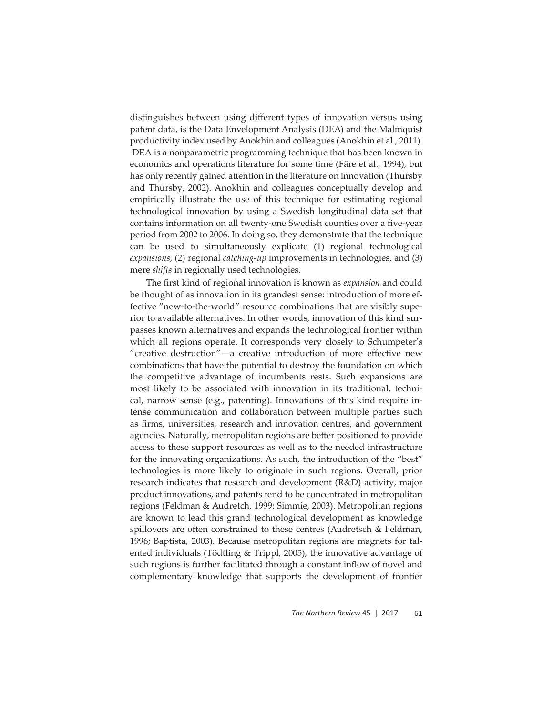distinguishes between using different types of innovation versus using patent data, is the Data Envelopment Analysis (DEA) and the Malmquist productivity index used by Anokhin and colleagues (Anokhin et al., 2011). DEA is a nonparametric programming technique that has been known in economics and operations literature for some time (Färe et al., 1994), but has only recently gained attention in the literature on innovation (Thursby and Thursby, 2002). Anokhin and colleagues conceptually develop and empirically illustrate the use of this technique for estimating regional technological innovation by using a Swedish longitudinal data set that contains information on all twenty-one Swedish counties over a five-year period from 2002 to 2006. In doing so, they demonstrate that the technique can be used to simultaneously explicate (1) regional technological *expansions*, (2) regional *catching-up* improvements in technologies, and (3) mere *shifts* in regionally used technologies.

The first kind of regional innovation is known as *expansion* and could be thought of as innovation in its grandest sense: introduction of more effective "new-to-the-world" resource combinations that are visibly superior to available alternatives. In other words, innovation of this kind surpasses known alternatives and expands the technological frontier within which all regions operate. It corresponds very closely to Schumpeter's "creative destruction" $-a$  creative introduction of more effective new combinations that have the potential to destroy the foundation on which the competitive advantage of incumbents rests. Such expansions are most likely to be associated with innovation in its traditional, technical, narrow sense (e.g., patenting). Innovations of this kind require intense communication and collaboration between multiple parties such as firms, universities, research and innovation centres, and government agencies. Naturally, metropolitan regions are better positioned to provide access to these support resources as well as to the needed infrastructure for the innovating organizations. As such, the introduction of the "best" technologies is more likely to originate in such regions. Overall, prior research indicates that research and development (R&D) activity, major product innovations, and patents tend to be concentrated in metropolitan regions (Feldman & Audretch, 1999; Simmie, 2003). Metropolitan regions are known to lead this grand technological development as knowledge spillovers are often constrained to these centres (Audretsch & Feldman, 1996; Baptista, 2003). Because metropolitan regions are magnets for talented individuals (Tödtling & Trippl, 2005), the innovative advantage of such regions is further facilitated through a constant inflow of novel and complementary knowledge that supports the development of frontier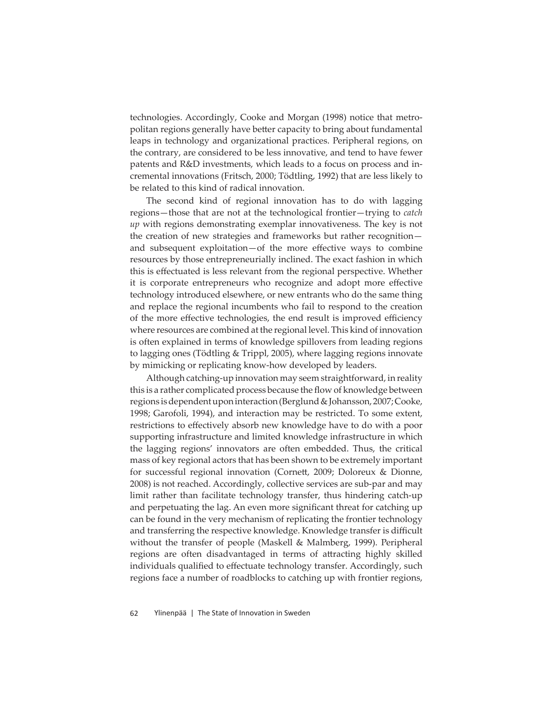technologies. Accordingly, Cooke and Morgan (1998) notice that metropolitan regions generally have better capacity to bring about fundamental leaps in technology and organizational practices. Peripheral regions, on the contrary, are considered to be less innovative, and tend to have fewer patents and R&D investments, which leads to a focus on process and incremental innovations (Fritsch, 2000; Tödtling, 1992) that are less likely to be related to this kind of radical innovation.

The second kind of regional innovation has to do with lagging regions—those that are not at the technological frontier—trying to *catch up* with regions demonstrating exemplar innovativeness. The key is not the creation of new strategies and frameworks but rather recognition and subsequent exploitation-of the more effective ways to combine resources by those entrepreneurially inclined. The exact fashion in which this is effectuated is less relevant from the regional perspective. Whether it is corporate entrepreneurs who recognize and adopt more effective technology introduced elsewhere, or new entrants who do the same thing and replace the regional incumbents who fail to respond to the creation of the more effective technologies, the end result is improved efficiency where resources are combined at the regional level. This kind of innovation is often explained in terms of knowledge spillovers from leading regions to lagging ones (Tödtling & Trippl, 2005), where lagging regions innovate by mimicking or replicating know-how developed by leaders.

Although catching-up innovation may seem straightforward, in reality this is a rather complicated process because the flow of knowledge between regions is dependent upon interaction (Berglund & Johansson, 2007; Cooke, 1998; Garofoli, 1994), and interaction may be restricted. To some extent, restrictions to effectively absorb new knowledge have to do with a poor supporting infrastructure and limited knowledge infrastructure in which the lagging regions' innovators are often embedded. Thus, the critical mass of key regional actors that has been shown to be extremely important for successful regional innovation (Cornett, 2009; Doloreux & Dionne, 2008) is not reached. Accordingly, collective services are sub-par and may limit rather than facilitate technology transfer, thus hindering catch-up and perpetuating the lag. An even more significant threat for catching up can be found in the very mechanism of replicating the frontier technology and transferring the respective knowledge. Knowledge transfer is difficult without the transfer of people (Maskell & Malmberg, 1999). Peripheral regions are often disadvantaged in terms of attracting highly skilled individuals qualified to effectuate technology transfer. Accordingly, such regions face a number of roadblocks to catching up with frontier regions,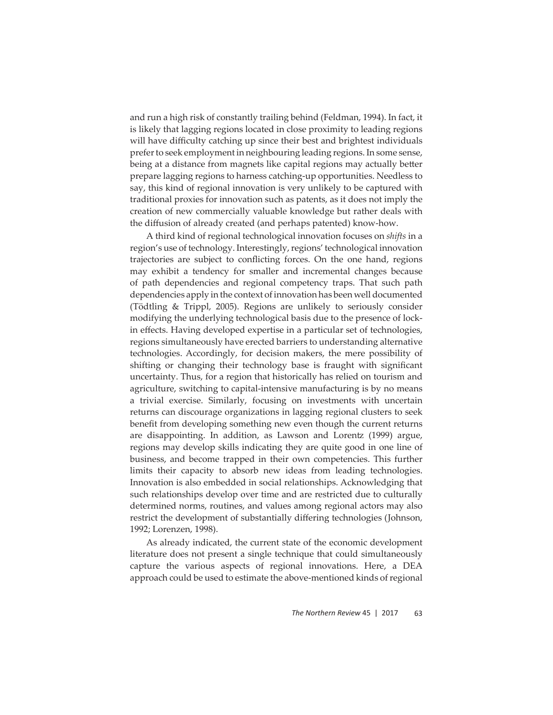and run a high risk of constantly trailing behind (Feldman, 1994). In fact, it is likely that lagging regions located in close proximity to leading regions will have difficulty catching up since their best and brightest individuals prefer to seek employment in neighbouring leading regions. In some sense, being at a distance from magnets like capital regions may actually better prepare lagging regions to harness catching-up opportunities. Needless to say, this kind of regional innovation is very unlikely to be captured with traditional proxies for innovation such as patents, as it does not imply the creation of new commercially valuable knowledge but rather deals with the diffusion of already created (and perhaps patented) know-how.

A third kind of regional technological innovation focuses on *shifts* in a region's use of technology. Interestingly, regions' technological innovation trajectories are subject to conflicting forces. On the one hand, regions may exhibit a tendency for smaller and incremental changes because of path dependencies and regional competency traps. That such path dependencies apply in the context of innovation has been well documented (Tödtling & Trippl, 2005). Regions are unlikely to seriously consider modifying the underlying technological basis due to the presence of lockin effects. Having developed expertise in a particular set of technologies, regions simultaneously have erected barriers to understanding alternative technologies. Accordingly, for decision makers, the mere possibility of shifting or changing their technology base is fraught with significant uncertainty. Thus, for a region that historically has relied on tourism and agriculture, switching to capital-intensive manufacturing is by no means a trivial exercise. Similarly, focusing on investments with uncertain returns can discourage organizations in lagging regional clusters to seek benefit from developing something new even though the current returns are disappointing. In addition, as Lawson and Lorentz (1999) argue, regions may develop skills indicating they are quite good in one line of business, and become trapped in their own competencies. This further limits their capacity to absorb new ideas from leading technologies. Innovation is also embedded in social relationships. Acknowledging that such relationships develop over time and are restricted due to culturally determined norms, routines, and values among regional actors may also restrict the development of substantially differing technologies (Johnson, 1992; Lorenzen, 1998).

As already indicated, the current state of the economic development literature does not present a single technique that could simultaneously capture the various aspects of regional innovations. Here, a DEA approach could be used to estimate the above-mentioned kinds of regional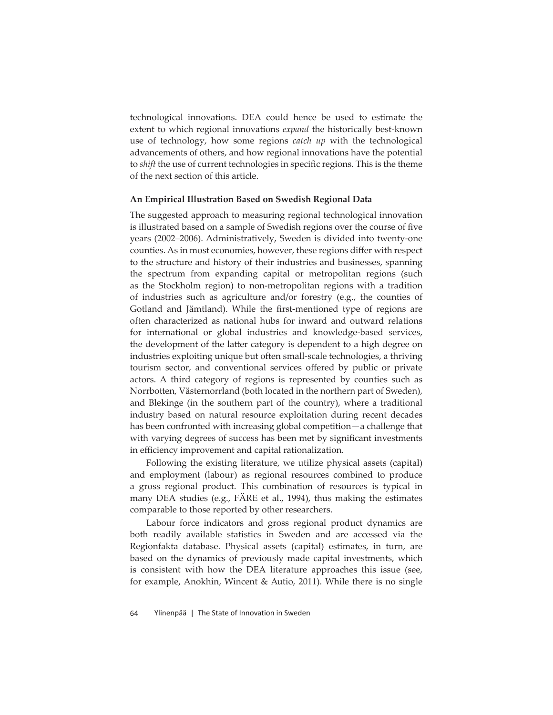technological innovations. DEA could hence be used to estimate the extent to which regional innovations *expand* the historically best-known use of technology, how some regions *catch up* with the technological advancements of others, and how regional innovations have the potential to *shift* the use of current technologies in specific regions. This is the theme of the next section of this article.

#### **An Empirical Illustration Based on Swedish Regional Data**

The suggested approach to measuring regional technological innovation is illustrated based on a sample of Swedish regions over the course of five years (2002–2006). Administratively, Sweden is divided into twenty-one counties. As in most economies, however, these regions differ with respect to the structure and history of their industries and businesses, spanning the spectrum from expanding capital or metropolitan regions (such as the Stockholm region) to non-metropolitan regions with a tradition of industries such as agriculture and/or forestry (e.g., the counties of Gotland and Jämtland). While the first-mentioned type of regions are often characterized as national hubs for inward and outward relations for international or global industries and knowledge-based services, the development of the latter category is dependent to a high degree on industries exploiting unique but often small-scale technologies, a thriving tourism sector, and conventional services offered by public or private actors. A third category of regions is represented by counties such as Norrbotten, Västernorrland (both located in the northern part of Sweden), and Blekinge (in the southern part of the country), where a traditional industry based on natural resource exploitation during recent decades has been confronted with increasing global competition—a challenge that with varying degrees of success has been met by significant investments in efficiency improvement and capital rationalization.

Following the existing literature, we utilize physical assets (capital) and employment (labour) as regional resources combined to produce a gross regional product. This combination of resources is typical in many DEA studies (e.g., FÄRE et al., 1994), thus making the estimates comparable to those reported by other researchers.

Labour force indicators and gross regional product dynamics are both readily available statistics in Sweden and are accessed via the Regionfakta database. Physical assets (capital) estimates, in turn, are based on the dynamics of previously made capital investments, which is consistent with how the DEA literature approaches this issue (see, for example, Anokhin, Wincent & Autio, 2011). While there is no single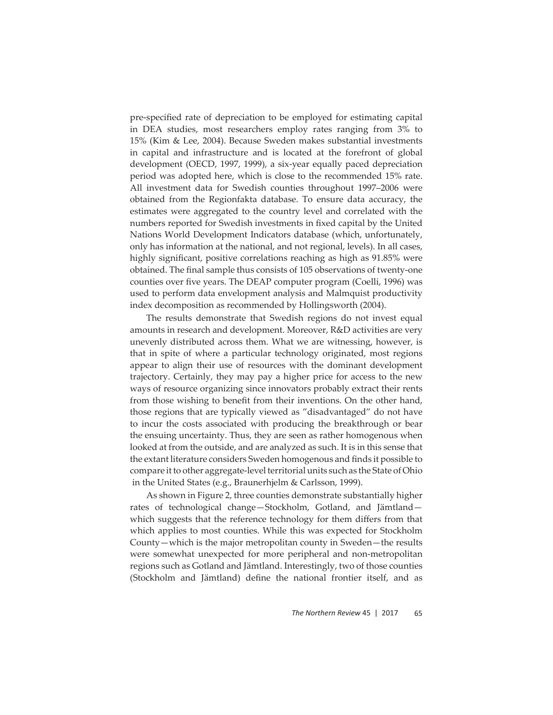pre-specified rate of depreciation to be employed for estimating capital in DEA studies, most researchers employ rates ranging from 3% to 15% (Kim & Lee, 2004). Because Sweden makes substantial investments in capital and infrastructure and is located at the forefront of global development (OECD, 1997, 1999), a six-year equally paced depreciation period was adopted here, which is close to the recommended 15% rate. All investment data for Swedish counties throughout 1997–2006 were obtained from the Regionfakta database. To ensure data accuracy, the estimates were aggregated to the country level and correlated with the numbers reported for Swedish investments in fixed capital by the United Nations World Development Indicators database (which, unfortunately, only has information at the national, and not regional, levels). In all cases, highly significant, positive correlations reaching as high as 91.85% were obtained. The final sample thus consists of 105 observations of twenty-one counties over five years. The DEAP computer program (Coelli, 1996) was used to perform data envelopment analysis and Malmquist productivity index decomposition as recommended by Hollingsworth (2004).

The results demonstrate that Swedish regions do not invest equal amounts in research and development. Moreover, R&D activities are very unevenly distributed across them. What we are witnessing, however, is that in spite of where a particular technology originated, most regions appear to align their use of resources with the dominant development trajectory. Certainly, they may pay a higher price for access to the new ways of resource organizing since innovators probably extract their rents from those wishing to benefit from their inventions. On the other hand, those regions that are typically viewed as "disadvantaged" do not have to incur the costs associated with producing the breakthrough or bear the ensuing uncertainty. Thus, they are seen as rather homogenous when looked at from the outside, and are analyzed as such. It is in this sense that the extant literature considers Sweden homogenous and finds it possible to compare it to other aggregate-level territorial units such as the State of Ohio in the United States (e.g., Braunerhjelm & Carlsson, 1999).

As shown in Figure 2, three counties demonstrate substantially higher rates of technological change—Stockholm, Gotland, and Jämtland which suggests that the reference technology for them differs from that which applies to most counties. While this was expected for Stockholm County—which is the major metropolitan county in Sweden—the results were somewhat unexpected for more peripheral and non-metropolitan regions such as Gotland and Jämtland. Interestingly, two of those counties (Stockholm and Jämtland) define the national frontier itself, and as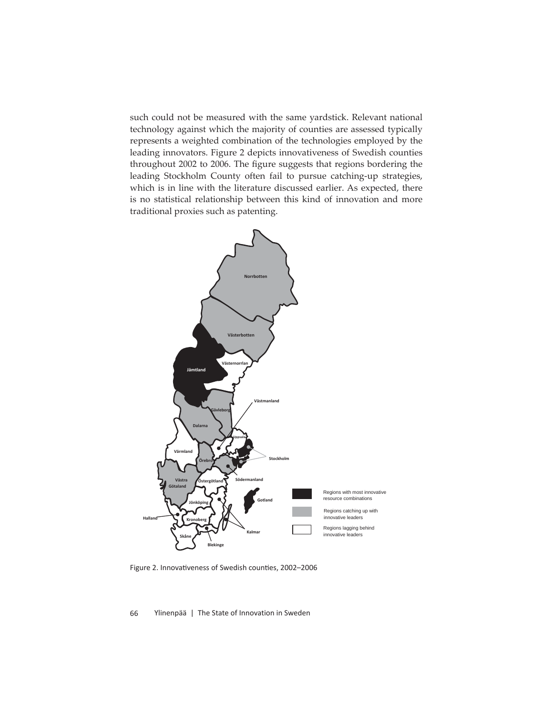such could not be measured with the same yardstick. Relevant national technology against which the majority of counties are assessed typically represents a weighted combination of the technologies employed by the leading innovators. Figure 2 depicts innovativeness of Swedish counties throughout 2002 to 2006. The figure suggests that regions bordering the leading Stockholm County often fail to pursue catching-up strategies, which is in line with the literature discussed earlier. As expected, there is no statistical relationship between this kind of innovation and more traditional proxies such as patenting.



Figure 2. Innovativeness of Swedish counties, 2002-2006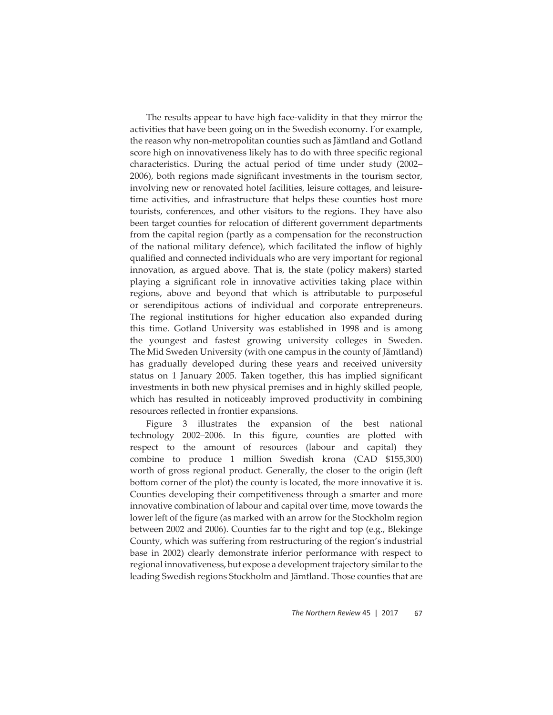The results appear to have high face-validity in that they mirror the activities that have been going on in the Swedish economy. For example, the reason why non-metropolitan counties such as Jämtland and Gotland score high on innovativeness likely has to do with three specific regional characteristics. During the actual period of time under study (2002– 2006), both regions made significant investments in the tourism sector, involving new or renovated hotel facilities, leisure cottages, and leisuretime activities, and infrastructure that helps these counties host more tourists, conferences, and other visitors to the regions. They have also been target counties for relocation of different government departments from the capital region (partly as a compensation for the reconstruction of the national military defence), which facilitated the inflow of highly qualified and connected individuals who are very important for regional innovation, as argued above. That is, the state (policy makers) started playing a significant role in innovative activities taking place within regions, above and beyond that which is attributable to purposeful or serendipitous actions of individual and corporate entrepreneurs. The regional institutions for higher education also expanded during this time. Gotland University was established in 1998 and is among the youngest and fastest growing university colleges in Sweden. The Mid Sweden University (with one campus in the county of Jämtland) has gradually developed during these years and received university status on 1 January 2005. Taken together, this has implied significant investments in both new physical premises and in highly skilled people, which has resulted in noticeably improved productivity in combining resources reflected in frontier expansions.

Figure 3 illustrates the expansion of the best national technology 2002–2006. In this figure, counties are plotted with respect to the amount of resources (labour and capital) they combine to produce 1 million Swedish krona (CAD \$155,300) worth of gross regional product. Generally, the closer to the origin (left bottom corner of the plot) the county is located, the more innovative it is. Counties developing their competitiveness through a smarter and more innovative combination of labour and capital over time, move towards the lower left of the figure (as marked with an arrow for the Stockholm region between 2002 and 2006). Counties far to the right and top (e.g., Blekinge County, which was suffering from restructuring of the region's industrial base in 2002) clearly demonstrate inferior performance with respect to regional innovativeness, but expose a development trajectory similar to the leading Swedish regions Stockholm and Jämtland. Those counties that are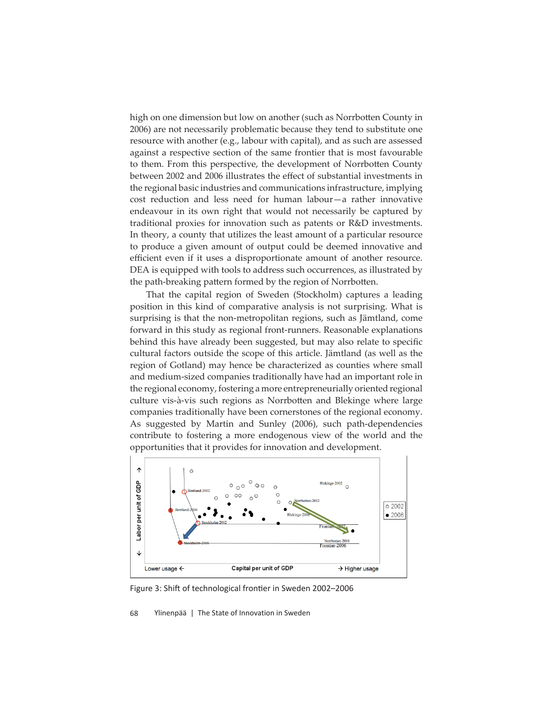high on one dimension but low on another (such as Norrbotten County in 2006) are not necessarily problematic because they tend to substitute one resource with another (e.g., labour with capital), and as such are assessed against a respective section of the same frontier that is most favourable to them. From this perspective, the development of Norrbotten County between 2002 and 2006 illustrates the effect of substantial investments in the regional basic industries and communications infrastructure, implying cost reduction and less need for human labour—a rather innovative endeavour in its own right that would not necessarily be captured by traditional proxies for innovation such as patents or R&D investments. In theory, a county that utilizes the least amount of a particular resource to produce a given amount of output could be deemed innovative and efficient even if it uses a disproportionate amount of another resource. DEA is equipped with tools to address such occurrences, as illustrated by the path-breaking pattern formed by the region of Norrbotten.

That the capital region of Sweden (Stockholm) captures a leading position in this kind of comparative analysis is not surprising. What is surprising is that the non-metropolitan regions, such as Jämtland, come forward in this study as regional front-runners. Reasonable explanations behind this have already been suggested, but may also relate to specific cultural factors outside the scope of this article. Jämtland (as well as the region of Gotland) may hence be characterized as counties where small and medium-sized companies traditionally have had an important role in the regional economy, fostering a more entrepreneurially oriented regional culture vis-à-vis such regions as Norrbotten and Blekinge where large companies traditionally have been cornerstones of the regional economy. As suggested by Martin and Sunley (2006), such path-dependencies contribute to fostering a more endogenous view of the world and the opportunities that it provides for innovation and development.



Figure 3: Shift of technological frontier in Sweden 2002–2006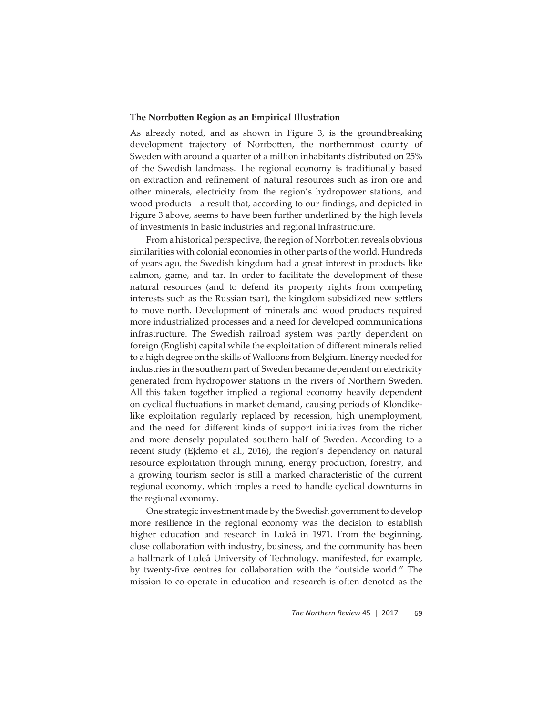## **The Norrbotten Region as an Empirical Illustration**

As already noted, and as shown in Figure 3, is the groundbreaking development trajectory of Norrbotten, the northernmost county of Sweden with around a quarter of a million inhabitants distributed on 25% of the Swedish landmass. The regional economy is traditionally based on extraction and refinement of natural resources such as iron ore and other minerals, electricity from the region's hydropower stations, and wood products-a result that, according to our findings, and depicted in Figure 3 above, seems to have been further underlined by the high levels of investments in basic industries and regional infrastructure.

From a historical perspective, the region of Norrbotten reveals obvious similarities with colonial economies in other parts of the world. Hundreds of years ago, the Swedish kingdom had a great interest in products like salmon, game, and tar. In order to facilitate the development of these natural resources (and to defend its property rights from competing interests such as the Russian tsar), the kingdom subsidized new settlers to move north. Development of minerals and wood products required more industrialized processes and a need for developed communications infrastructure. The Swedish railroad system was partly dependent on foreign (English) capital while the exploitation of different minerals relied to a high degree on the skills of Walloons from Belgium. Energy needed for industries in the southern part of Sweden became dependent on electricity generated from hydropower stations in the rivers of Northern Sweden. All this taken together implied a regional economy heavily dependent on cyclical fluctuations in market demand, causing periods of Klondikelike exploitation regularly replaced by recession, high unemployment, and the need for different kinds of support initiatives from the richer and more densely populated southern half of Sweden. According to a recent study (Ejdemo et al., 2016), the region's dependency on natural resource exploitation through mining, energy production, forestry, and a growing tourism sector is still a marked characteristic of the current regional economy, which imples a need to handle cyclical downturns in the regional economy.

One strategic investment made by the Swedish government to develop more resilience in the regional economy was the decision to establish higher education and research in Luleå in 1971. From the beginning, close collaboration with industry, business, and the community has been a hallmark of Luleå University of Technology, manifested, for example, by twenty-five centres for collaboration with the "outside world." The mission to co-operate in education and research is often denoted as the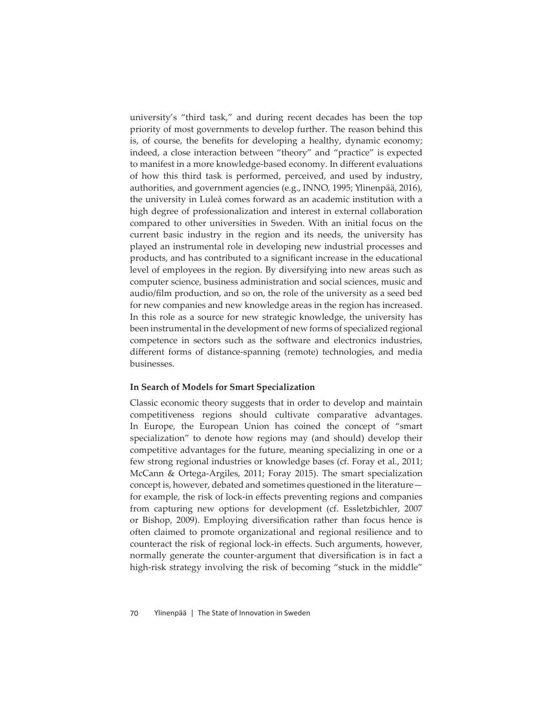university's "third task," and during recent decades has been the top priority of most governments to develop further. The reason behind this is, of course, the benefits for developing a healthy, dynamic economy; indeed, a close interaction between "theory" and "practice" is expected to manifest in a more knowledge-based economy. In different evaluations of how this third task is performed, perceived, and used by industry, authorities, and government agencies (e.g., INNO, 1995; Ylinenpää, 2016), the university in Luleå comes forward as an academic institution with a high degree of professionalization and interest in external collaboration compared to other universities in Sweden. With an initial focus on the current basic industry in the region and its needs, the university has played an instrumental role in developing new industrial processes and products, and has contributed to a significant increase in the educational level of employees in the region. By diversifying into new areas such as computer science, business administration and social sciences, music and audio/film production, and so on, the role of the university as a seed bed for new companies and new knowledge areas in the region has increased. In this role as a source for new strategic knowledge, the university has been instrumental in the development of new forms of specialized regional competence in sectors such as the software and electronics industries, different forms of distance-spanning (remote) technologies, and media businesses.

#### **In Search of Models for Smart Specialization**

Classic economic theory suggests that in order to develop and maintain competitiveness regions should cultivate comparative advantages. In Europe, the European Union has coined the concept of "smart specialization" to denote how regions may (and should) develop their competitive advantages for the future, meaning specializing in one or a few strong regional industries or knowledge bases (cf. Foray et al., 2011; McCann & Ortega-Argiles, 2011; Foray 2015). The smart specialization concept is, however, debated and sometimes questioned in the literature for example, the risk of lock-in effects preventing regions and companies from capturing new options for development (cf. Essletzbichler, 2007) or Bishop, 2009). Employing diversification rather than focus hence is often claimed to promote organizational and regional resilience and to counteract the risk of regional lock-in effects. Such arguments, however, normally generate the counter-argument that diversification is in fact a high-risk strategy involving the risk of becoming "stuck in the middle"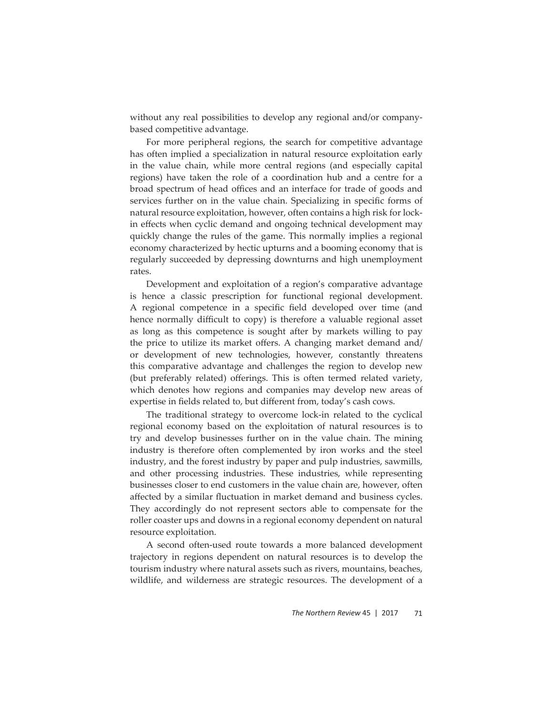without any real possibilities to develop any regional and/or companybased competitive advantage.

For more peripheral regions, the search for competitive advantage has often implied a specialization in natural resource exploitation early in the value chain, while more central regions (and especially capital regions) have taken the role of a coordination hub and a centre for a broad spectrum of head offices and an interface for trade of goods and services further on in the value chain. Specializing in specific forms of natural resource exploitation, however, often contains a high risk for lockin effects when cyclic demand and ongoing technical development may quickly change the rules of the game. This normally implies a regional economy characterized by hectic upturns and a booming economy that is regularly succeeded by depressing downturns and high unemployment rates.

Development and exploitation of a region's comparative advantage is hence a classic prescription for functional regional development. A regional competence in a specific field developed over time (and hence normally difficult to copy) is therefore a valuable regional asset as long as this competence is sought after by markets willing to pay the price to utilize its market offers. A changing market demand and/ or development of new technologies, however, constantly threatens this comparative advantage and challenges the region to develop new (but preferably related) offerings. This is often termed related variety, which denotes how regions and companies may develop new areas of expertise in fields related to, but different from, today's cash cows.

The traditional strategy to overcome lock-in related to the cyclical regional economy based on the exploitation of natural resources is to try and develop businesses further on in the value chain. The mining industry is therefore often complemented by iron works and the steel industry, and the forest industry by paper and pulp industries, sawmills, and other processing industries. These industries, while representing businesses closer to end customers in the value chain are, however, often affected by a similar fluctuation in market demand and business cycles. They accordingly do not represent sectors able to compensate for the roller coaster ups and downs in a regional economy dependent on natural resource exploitation.

A second often-used route towards a more balanced development trajectory in regions dependent on natural resources is to develop the tourism industry where natural assets such as rivers, mountains, beaches, wildlife, and wilderness are strategic resources. The development of a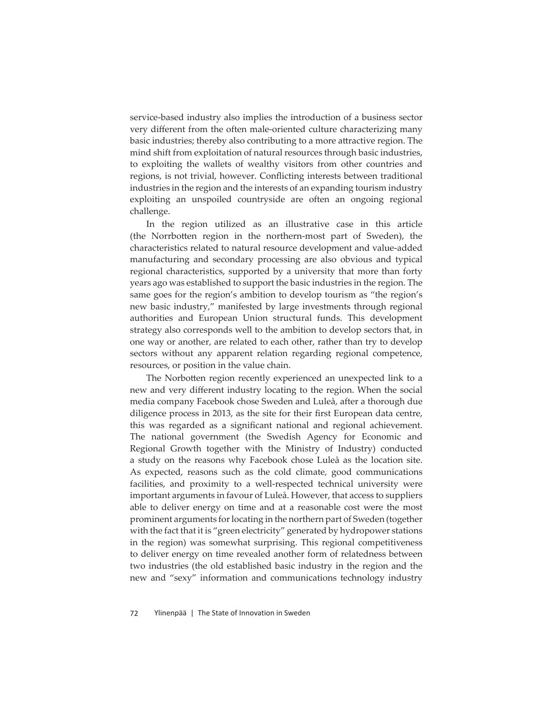service-based industry also implies the introduction of a business sector very different from the often male-oriented culture characterizing many basic industries; thereby also contributing to a more attractive region. The mind shift from exploitation of natural resources through basic industries, to exploiting the wallets of wealthy visitors from other countries and regions, is not trivial, however. Conflicting interests between traditional industries in the region and the interests of an expanding tourism industry exploiting an unspoiled countryside are often an ongoing regional challenge.

In the region utilized as an illustrative case in this article (the Norrbotten region in the northern-most part of Sweden), the characteristics related to natural resource development and value-added manufacturing and secondary processing are also obvious and typical regional characteristics, supported by a university that more than forty years ago was established to support the basic industries in the region. The same goes for the region's ambition to develop tourism as "the region's new basic industry," manifested by large investments through regional authorities and European Union structural funds. This development strategy also corresponds well to the ambition to develop sectors that, in one way or another, are related to each other, rather than try to develop sectors without any apparent relation regarding regional competence, resources, or position in the value chain.

The Norbotten region recently experienced an unexpected link to a new and very different industry locating to the region. When the social media company Facebook chose Sweden and Luleå, after a thorough due diligence process in 2013, as the site for their first European data centre, this was regarded as a significant national and regional achievement. The national government (the Swedish Agency for Economic and Regional Growth together with the Ministry of Industry) conducted a study on the reasons why Facebook chose Luleå as the location site. As expected, reasons such as the cold climate, good communications facilities, and proximity to a well-respected technical university were important arguments in favour of Luleå. However, that access to suppliers able to deliver energy on time and at a reasonable cost were the most prominent arguments for locating in the northern part of Sweden (together with the fact that it is "green electricity" generated by hydropower stations in the region) was somewhat surprising. This regional competitiveness to deliver energy on time revealed another form of relatedness between two industries (the old established basic industry in the region and the new and "sexy" information and communications technology industry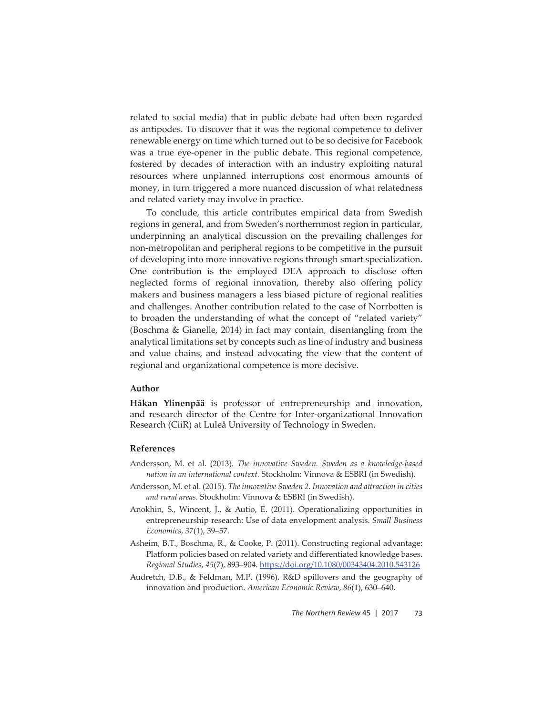related to social media) that in public debate had often been regarded as antipodes. To discover that it was the regional competence to deliver renewable energy on time which turned out to be so decisive for Facebook was a true eye-opener in the public debate. This regional competence, fostered by decades of interaction with an industry exploiting natural resources where unplanned interruptions cost enormous amounts of money, in turn triggered a more nuanced discussion of what relatedness and related variety may involve in practice.

To conclude, this article contributes empirical data from Swedish regions in general, and from Sweden's northernmost region in particular, underpinning an analytical discussion on the prevailing challenges for non-metropolitan and peripheral regions to be competitive in the pursuit of developing into more innovative regions through smart specialization. One contribution is the employed DEA approach to disclose often neglected forms of regional innovation, thereby also offering policy makers and business managers a less biased picture of regional realities and challenges. Another contribution related to the case of Norrbotten is to broaden the understanding of what the concept of "related variety" (Boschma & Gianelle, 2014) in fact may contain, disentangling from the analytical limitations set by concepts such as line of industry and business and value chains, and instead advocating the view that the content of regional and organizational competence is more decisive.

## **Author**

**Håkan Ylinenpää** is professor of entrepreneurship and innovation, and research director of the Centre for Inter-organizational Innovation Research (CiiR) at Luleå University of Technology in Sweden.

### **References**

- Andersson, M. et al. (2013). *The innovative Sweden. Sweden as a knowledge-based nation in an international context.* Stockholm: Vinnova & ESBRI (in Swedish).
- Andersson, M. et al. (2015). *The innovative Sweden 2. Innovation and attraction in cities and rural areas*. Stockholm: Vinnova & ESBRI (in Swedish).
- Anokhin, S., Wincent, J., & Autio, E. (2011). Operationalizing opportunities in entrepreneurship research: Use of data envelopment analysis. *Small Business Economics*, *37*(1), 39–57.
- Asheim, B.T., Boschma, R., & Cooke, P. (2011). Constructing regional advantage: Platform policies based on related variety and differentiated knowledge bases. *Regional Studies*, *45*(7), 893–904. htt ps://doi.org/10.1080/00343404.2010.543126
- Audretch, D.B., & Feldman, M.P. (1996). R&D spillovers and the geography of innovation and production. *American Economic Review*, *86*(1), 630–640.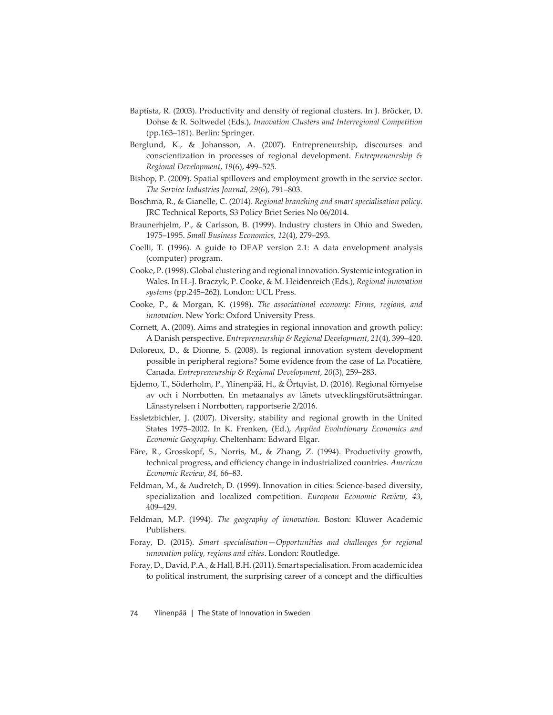- Baptista, R. (2003). Productivity and density of regional clusters. In J. Bröcker, D. Dohse & R. Soltwedel (Eds.), *Innovation Clusters and Interregional Competition* (pp.163–181). Berlin: Springer.
- Berglund, K., & Johansson, A. (2007). Entrepreneurship, discourses and conscientization in processes of regional development. *Entrepreneurship & Regional Development*, *19*(6), 499–525.
- Bishop, P. (2009). Spatial spillovers and employment growth in the service sector. *The Service Industries Journal*, *29*(6), 791–803.
- Boschma, R., & Gianelle, C. (2014). *Regional branching and smart specialisation policy*. JRC Technical Reports, S3 Policy Briet Series No 06/2014.
- Braunerhjelm, P., & Carlsson, B. (1999). Industry clusters in Ohio and Sweden, 1975–1995. *Small Business Economics*, *12*(4), 279–293.
- Coelli, T. (1996). A guide to DEAP version 2.1: A data envelopment analysis (computer) program.
- Cooke, P. (1998). Global clustering and regional innovation. Systemic integration in Wales. In H.-J. Braczyk, P. Cooke, & M. Heidenreich (Eds.), *Regional innovation systems* (pp.245–262). London: UCL Press.
- Cooke, P., & Morgan, K. (1998). *The associational economy: Firms, regions, and innovation*. New York: Oxford University Press.
- Cornett, A. (2009). Aims and strategies in regional innovation and growth policy: A Danish perspective. *Entrepreneurship & Regional Development*, *21*(4), 399–420.
- Doloreux, D., & Dionne, S. (2008). Is regional innovation system development possible in peripheral regions? Some evidence from the case of La Pocatière, Canada. *Entrepreneurship & Regional Development*, *20*(3), 259–283.
- Ejdemo, T., Söderholm, P., Ylinenpää, H., & Örtqvist, D. (2016). Regional förnyelse av och i Norrbotten. En metaanalys av länets utvecklingsförutsättningar. Länsstyrelsen i Norrbotten, rapportserie 2/2016.
- Essletzbichler, J. (2007). Diversity, stability and regional growth in the United States 1975–2002. In K. Frenken, (Ed.), *Applied Evolutionary Economics and Economic Geography*. Cheltenham: Edward Elgar.
- Färe, R., Grosskopf, S., Norris, M., & Zhang, Z. (1994). Productivity growth, technical progress, and efficiency change in industrialized countries. American *Economic Review*, *84*, 66–83.
- Feldman, M., & Audretch, D. (1999). Innovation in cities: Science-based diversity, specialization and localized competition. *European Economic Review*, *43*, 409–429.
- Feldman, M.P. (1994). *The geography of innovation*. Boston: Kluwer Academic Publishers.
- Foray, D. (2015). *Smart specialisation—Opportunities and challenges for regional innovation policy, regions and cities*. London: Routledge.
- Foray, D., David, P.A., & Hall, B.H. (2011). Smart specialisation. From academic idea to political instrument, the surprising career of a concept and the difficulties